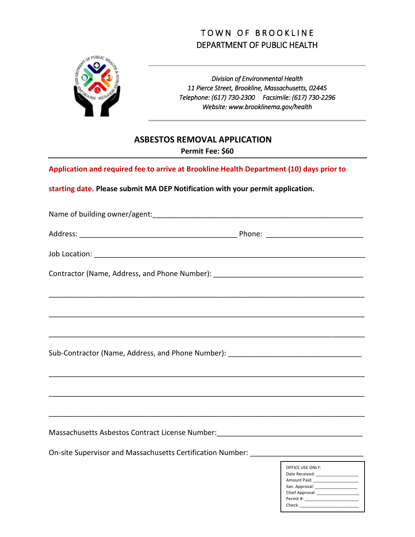## TOWN OF BROOKLINE DEPARTMENT OF PUBLIC HEALTH



*Division of Environmental Health 11 Pierce Street, Brookline, Massachusetts, 02445 Telephone: (617) 730-2300 Facsimile: (617) 730-2296 Website: www.brooklinema.gov/health*

## **ASBESTOS REMOVAL APPLICATION**

**Permit Fee: \$60**

**Application and required fee to arrive at Brookline Health Department (10) days prior to** 

**starting date. Please submit MA DEP Notification with your permit application.** 

| Contractor (Name, Address, and Phone Number): __________________________________  |
|-----------------------------------------------------------------------------------|
|                                                                                   |
|                                                                                   |
|                                                                                   |
| Sub-Contractor (Name, Address, and Phone Number): ______________________________  |
|                                                                                   |
|                                                                                   |
|                                                                                   |
| Massachusetts Asbestos Contract License Number: ________________________________  |
| On-site Supervisor and Massachusetts Certification Number: ______________________ |
| OFFICE USE ONLY:                                                                  |

| UFFILE UJE UNLI.                                                                                                                                                                                                               |
|--------------------------------------------------------------------------------------------------------------------------------------------------------------------------------------------------------------------------------|
| Date Received:                                                                                                                                                                                                                 |
| Amount Paid: The Contract of the Contract of the Contract of the Contract of the Contract of the Contract of the Contract of the Contract of the Contract of the Contract of the Contract of the Contract of the Contract of t |
| San. Approval:                                                                                                                                                                                                                 |
| Chief Approval:                                                                                                                                                                                                                |
| Permit #:                                                                                                                                                                                                                      |
| Check:                                                                                                                                                                                                                         |
|                                                                                                                                                                                                                                |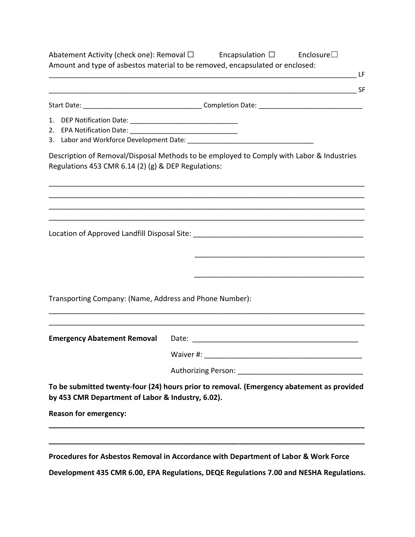|                                                         | Abatement Activity (check one): Removal $\square$ Encapsulation $\square$ Enclosure $\square$<br>Amount and type of asbestos material to be removed, encapsulated or enclosed: |
|---------------------------------------------------------|--------------------------------------------------------------------------------------------------------------------------------------------------------------------------------|
|                                                         |                                                                                                                                                                                |
|                                                         |                                                                                                                                                                                |
|                                                         |                                                                                                                                                                                |
|                                                         |                                                                                                                                                                                |
|                                                         |                                                                                                                                                                                |
| Regulations 453 CMR 6.14 (2) (g) & DEP Regulations:     | Description of Removal/Disposal Methods to be employed to Comply with Labor & Industries                                                                                       |
|                                                         |                                                                                                                                                                                |
|                                                         |                                                                                                                                                                                |
|                                                         |                                                                                                                                                                                |
|                                                         |                                                                                                                                                                                |
|                                                         |                                                                                                                                                                                |
| Transporting Company: (Name, Address and Phone Number): |                                                                                                                                                                                |
|                                                         |                                                                                                                                                                                |
|                                                         | Waiver #:                                                                                                                                                                      |
|                                                         | <b>Authorizing Person:</b>                                                                                                                                                     |
| by 453 CMR Department of Labor & Industry, 6.02).       | To be submitted twenty-four (24) hours prior to removal. (Emergency abatement as provided                                                                                      |
| <b>Reason for emergency:</b>                            |                                                                                                                                                                                |
|                                                         |                                                                                                                                                                                |
|                                                         | Procedures for Asbestos Removal in Accordance with Department of Labor & Work Force                                                                                            |
|                                                         | Development 435 CMR 6.00, EPA Regulations, DEQE Regulations 7.00 and NESHA Regulations.                                                                                        |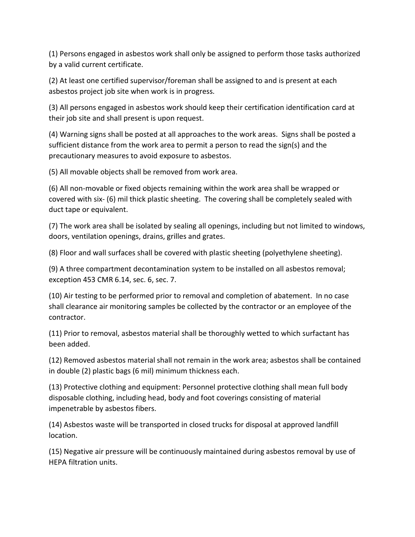(1) Persons engaged in asbestos work shall only be assigned to perform those tasks authorized by a valid current certificate.

(2) At least one certified supervisor/foreman shall be assigned to and is present at each asbestos project job site when work is in progress.

(3) All persons engaged in asbestos work should keep their certification identification card at their job site and shall present is upon request.

(4) Warning signs shall be posted at all approaches to the work areas. Signs shall be posted a sufficient distance from the work area to permit a person to read the sign(s) and the precautionary measures to avoid exposure to asbestos.

(5) All movable objects shall be removed from work area.

(6) All non-movable or fixed objects remaining within the work area shall be wrapped or covered with six- (6) mil thick plastic sheeting. The covering shall be completely sealed with duct tape or equivalent.

(7) The work area shall be isolated by sealing all openings, including but not limited to windows, doors, ventilation openings, drains, grilles and grates.

(8) Floor and wall surfaces shall be covered with plastic sheeting (polyethylene sheeting).

(9) A three compartment decontamination system to be installed on all asbestos removal; exception 453 CMR 6.14, sec. 6, sec. 7.

(10) Air testing to be performed prior to removal and completion of abatement. In no case shall clearance air monitoring samples be collected by the contractor or an employee of the contractor.

(11) Prior to removal, asbestos material shall be thoroughly wetted to which surfactant has been added.

(12) Removed asbestos material shall not remain in the work area; asbestos shall be contained in double (2) plastic bags (6 mil) minimum thickness each.

(13) Protective clothing and equipment: Personnel protective clothing shall mean full body disposable clothing, including head, body and foot coverings consisting of material impenetrable by asbestos fibers.

(14) Asbestos waste will be transported in closed trucks for disposal at approved landfill location.

(15) Negative air pressure will be continuously maintained during asbestos removal by use of HEPA filtration units.